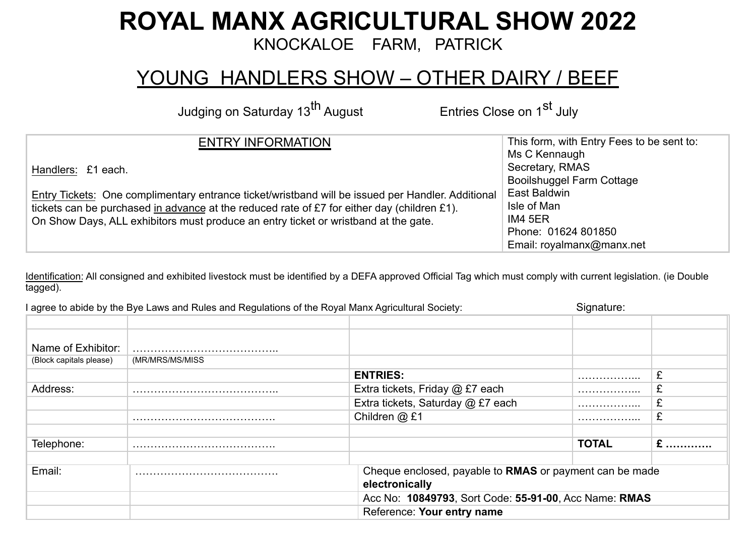## **ROYAL MANX AGRICULTURAL SHOW 2022**

KNOCKALOE FARM, PATRICK

## YOUNG HANDLERS SHOW - OTHER DAIRY / BEEF

Judging on Saturday 13<sup>th</sup> August Entries Close on 1<sup>st</sup> July

| <b>ENTRY INFORMATION</b>                                                                          | This form, with Entry Fees to be sent to: |  |  |
|---------------------------------------------------------------------------------------------------|-------------------------------------------|--|--|
|                                                                                                   | Ms C Kennaugh                             |  |  |
| Handlers: £1 each.                                                                                | Secretary, RMAS                           |  |  |
|                                                                                                   | <b>Booilshuggel Farm Cottage</b>          |  |  |
| Entry Tickets: One complimentary entrance ticket/wristband will be issued per Handler. Additional | East Baldwin                              |  |  |
| tickets can be purchased in advance at the reduced rate of £7 for either day (children £1).       | Isle of Man                               |  |  |
| On Show Days, ALL exhibitors must produce an entry ticket or wristband at the gate.               | IM4 5ER                                   |  |  |
|                                                                                                   | Phone: 01624 801850                       |  |  |
|                                                                                                   | Email: royalmanx@manx.net                 |  |  |

Identification: All consigned and exhibited livestock must be identified by a DEFA approved Official Tag which must comply with current legislation. (ie Double tagged).

| I agree to abide by the Bye Laws and Rules and Regulations of the Royal Manx Agricultural Society: |                 | Signature:                        |                                                         |         |  |  |
|----------------------------------------------------------------------------------------------------|-----------------|-----------------------------------|---------------------------------------------------------|---------|--|--|
|                                                                                                    |                 |                                   |                                                         |         |  |  |
| Name of Exhibitor:                                                                                 |                 |                                   |                                                         |         |  |  |
| (Block capitals please)                                                                            | (MR/MRS/MS/MISS |                                   |                                                         |         |  |  |
|                                                                                                    |                 | <b>ENTRIES:</b>                   | .                                                       | ⌒<br>z. |  |  |
| Address:                                                                                           |                 | Extra tickets, Friday @ £7 each   | .                                                       | z.      |  |  |
|                                                                                                    |                 | Extra tickets, Saturday @ £7 each | .                                                       | ⌒       |  |  |
|                                                                                                    |                 | Children @ £1                     | .                                                       | z.      |  |  |
| Telephone:                                                                                         |                 |                                   | <b>TOTAL</b>                                            | $E$     |  |  |
| Email:                                                                                             |                 | electronically                    | Cheque enclosed, payable to RMAS or payment can be made |         |  |  |
|                                                                                                    |                 |                                   | Acc No: 10849793, Sort Code: 55-91-00, Acc Name: RMAS   |         |  |  |
|                                                                                                    |                 | Reference: Your entry name        |                                                         |         |  |  |